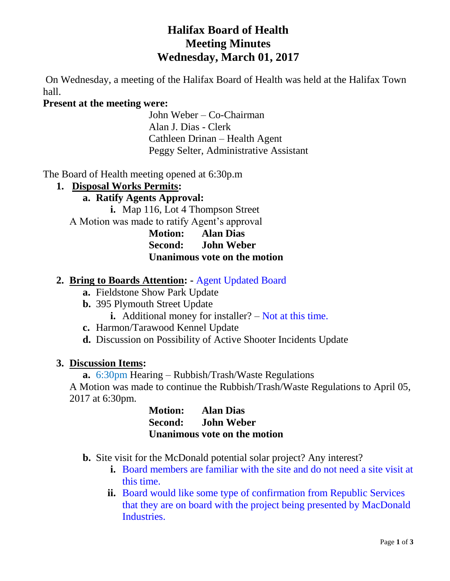# **Halifax Board of Health Meeting Minutes Wednesday, March 01, 2017**

On Wednesday, a meeting of the Halifax Board of Health was held at the Halifax Town hall.

### **Present at the meeting were:**

John Weber – Co-Chairman Alan J. Dias - Clerk Cathleen Drinan – Health Agent Peggy Selter, Administrative Assistant

The Board of Health meeting opened at 6:30p.m

#### **1. Disposal Works Permits:**

### **a. Ratify Agents Approval:**

**i.** Map 116, Lot 4 Thompson Street A Motion was made to ratify Agent's approval

**Motion: Alan Dias Second: John Weber Unanimous vote on the motion**

## **2. Bring to Boards Attention: -** Agent Updated Board

- **a.** Fieldstone Show Park Update
- **b.** 395 Plymouth Street Update
	- **i.** Additional money for installer? Not at this time.
- **c.** Harmon/Tarawood Kennel Update
- **d.** Discussion on Possibility of Active Shooter Incidents Update

#### **3. Discussion Items:**

**a.** 6:30pm Hearing – Rubbish/Trash/Waste Regulations A Motion was made to continue the Rubbish/Trash/Waste Regulations to April 05, 2017 at 6:30pm.

| <b>Motion:</b> | <b>Alan Dias</b>             |
|----------------|------------------------------|
| Second:        | <b>John Weber</b>            |
|                | Unanimous vote on the motion |

**b.** Site visit for the McDonald potential solar project? Any interest?

- **i.** Board members are familiar with the site and do not need a site visit at this time.
- **ii.** Board would like some type of confirmation from Republic Services that they are on board with the project being presented by MacDonald Industries.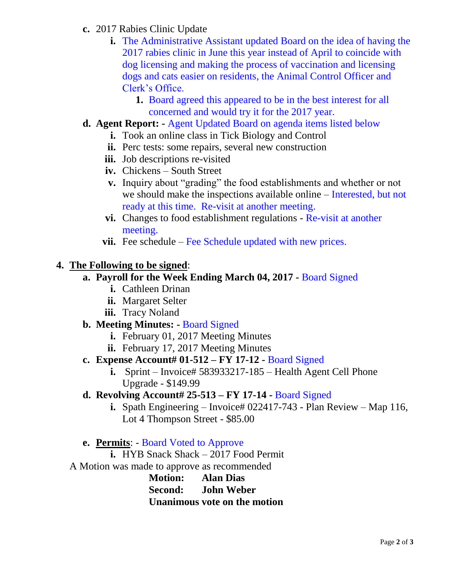- **c.** 2017 Rabies Clinic Update
	- **i.** The Administrative Assistant updated Board on the idea of having the 2017 rabies clinic in June this year instead of April to coincide with dog licensing and making the process of vaccination and licensing dogs and cats easier on residents, the Animal Control Officer and Clerk's Office.
		- **1.** Board agreed this appeared to be in the best interest for all concerned and would try it for the 2017 year.
- **d. Agent Report: -** Agent Updated Board on agenda items listed below
	- **i.** Took an online class in Tick Biology and Control
	- **ii.** Perc tests: some repairs, several new construction
	- **iii.** Job descriptions re-visited
	- **iv.** Chickens South Street
	- **v.** Inquiry about "grading" the food establishments and whether or not we should make the inspections available online – Interested, but not ready at this time. Re-visit at another meeting.
	- **vi.** Changes to food establishment regulations Re-visit at another meeting.
	- **vii.** Fee schedule Fee Schedule updated with new prices.

## **4. The Following to be signed**:

### **a. Payroll for the Week Ending March 04, 2017 -** Board Signed

- **i.** Cathleen Drinan
- **ii.** Margaret Selter
- **iii.** Tracy Noland

#### **b. Meeting Minutes: -** Board Signed

- **i.** February 01, 2017 Meeting Minutes
- **ii.** February 17, 2017 Meeting Minutes

## **c. Expense Account# 01-512 – FY 17-12 -** Board Signed

**i.** Sprint – Invoice# 583933217-185 – Health Agent Cell Phone Upgrade - \$149.99

## **d. Revolving Account# 25-513 – FY 17-14 -** Board Signed

**i.** Spath Engineering – Invoice# 022417-743 - Plan Review – Map 116, Lot 4 Thompson Street - \$85.00

## **e. Permits**: - Board Voted to Approve

**i.** HYB Snack Shack – 2017 Food Permit A Motion was made to approve as recommended

> **Motion: Alan Dias Second: John Weber Unanimous vote on the motion**